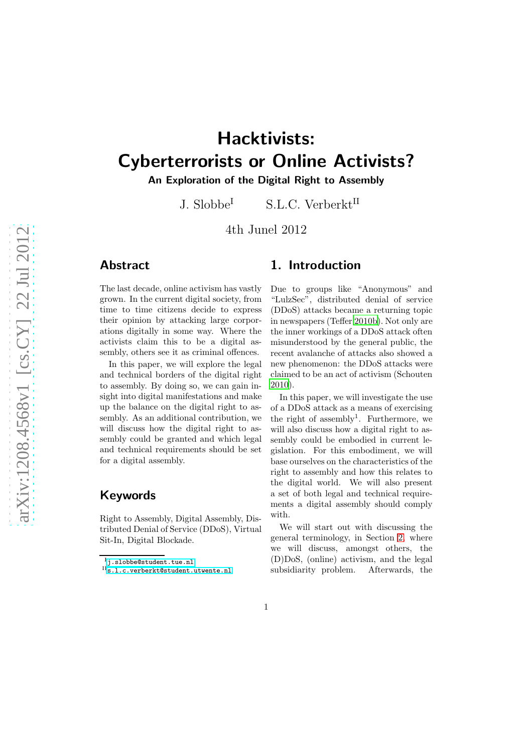# Hacktivists: Cyberterrorists or Online Activists?

An Exploration of the Digital Right to Assembly

J. Slobbe<sup>I</sup> S.L.C. Verberkt<sup>II</sup>

4th Junel 2012

## Abstract

The last decade, online activism has vastly grown. In the current digital society, from time to time citizens decide to express their opinion by attacking large corporations digitally in some way. Where the activists claim this to be a digital assembly, others see it as criminal offences.

In this paper, we will explore the legal and technical borders of the digital right to assembly. By doing so, we can gain insight into digital manifestations and make up the balance on the digital right to assembly. As an additional contribution, we will discuss how the digital right to assembly could be granted and which legal and technical requirements should be set for a digital assembly.

## Keywords

Right to Assembly, Digital Assembly, Distributed Denial of Service (DDoS), Virtual Sit-In, Digital Blockade.

## 1. Introduction

Due to groups like "Anonymous" and "LulzSec", distributed denial of service (DDoS) attacks became a returning topic in newspapers (Teffer [2010b](#page-24-0)). Not only are the inner workings of a DDoS attack often misunderstood by the general public, the recent avalanche of attacks also showed a new phenomenon: the DDoS attacks were claimed to be an act of activism (Schouten [2010\)](#page-23-0).

In this paper, we will investigate the use of a DDoS attack as a means of exercising the right of assembly<sup>1</sup>. Furthermore, we will also discuss how a digital right to assembly could be embodied in current legislation. For this embodiment, we will base ourselves on the characteristics of the right to assembly and how this relates to the digital world. We will also present a set of both legal and technical requirements a digital assembly should comply with.

We will start out with discussing the general terminology, in Section [2,](#page-1-0) where we will discuss, amongst others, the (D)DoS, (online) activism, and the legal subsidiarity problem. Afterwards, the

<sup>I</sup>[j.slobbe@student.tue.nl](mailto:j.slobbe@student.tue.nl)

II[s.l.c.verberkt@student.utwente.nl](mailto:s.l.c.verberkt@student.utwente.nl)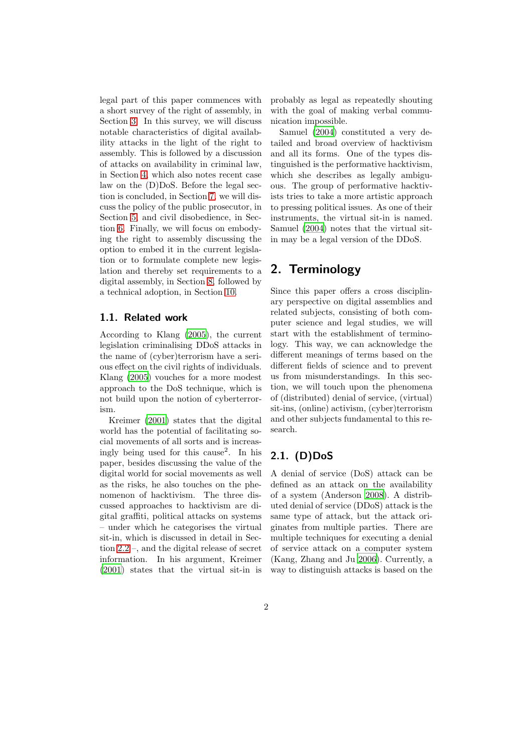legal part of this paper commences with a short survey of the right of assembly, in Section [3.](#page-4-0) In this survey, we will discuss notable characteristics of digital availability attacks in the light of the right to assembly. This is followed by a discussion of attacks on availability in criminal law, in Section [4,](#page-8-0) which also notes recent case law on the (D)DoS. Before the legal section is concluded, in Section [7,](#page-12-0) we will discuss the policy of the public prosecutor, in Section [5,](#page-10-0) and civil disobedience, in Section [6.](#page-11-0) Finally, we will focus on embodying the right to assembly discussing the option to embed it in the current legislation or to formulate complete new legislation and thereby set requirements to a digital assembly, in Section [8,](#page-13-0) followed by a technical adoption, in Section [10.](#page-17-0)

### 1.1. Related work

According to Klang [\(2005](#page-23-1)), the current legislation criminalising DDoS attacks in the name of (cyber)terrorism have a serious effect on the civil rights of individuals. Klang [\(2005\)](#page-23-1) vouches for a more modest approach to the DoS technique, which is not build upon the notion of cyberterrorism.

Kreimer [\(2001\)](#page-23-2) states that the digital world has the potential of facilitating social movements of all sorts and is increasingly being used for this cause<sup>2</sup> . In his paper, besides discussing the value of the digital world for social movements as well as the risks, he also touches on the phenomenon of hacktivism. The three discussed approaches to hacktivism are digital graffiti, political attacks on systems – under which he categorises the virtual sit-in, which is discussed in detail in Section [2.2](#page-2-0) –, and the digital release of secret information. In his argument, Kreimer [\(2001\)](#page-23-2) states that the virtual sit-in is probably as legal as repeatedly shouting with the goal of making verbal communication impossible.

Samuel [\(2004](#page-23-3)) constituted a very detailed and broad overview of hacktivism and all its forms. One of the types distinguished is the performative hacktivism, which she describes as legally ambiguous. The group of performative hacktivists tries to take a more artistic approach to pressing political issues. As one of their instruments, the virtual sit-in is named. Samuel [\(2004\)](#page-23-3) notes that the virtual sitin may be a legal version of the DDoS.

## <span id="page-1-0"></span>2. Terminology

Since this paper offers a cross disciplinary perspective on digital assemblies and related subjects, consisting of both computer science and legal studies, we will start with the establishment of terminology. This way, we can acknowledge the different meanings of terms based on the different fields of science and to prevent us from misunderstandings. In this section, we will touch upon the phenomena of (distributed) denial of service, (virtual) sit-ins, (online) activism, (cyber)terrorism and other subjects fundamental to this research.

## 2.1. (D)DoS

A denial of service (DoS) attack can be defined as an attack on the availability of a system (Anderson [2008](#page-22-0)). A distributed denial of service (DDoS) attack is the same type of attack, but the attack originates from multiple parties. There are multiple techniques for executing a denial of service attack on a computer system (Kang, Zhang and Ju [2006\)](#page-23-4). Currently, a way to distinguish attacks is based on the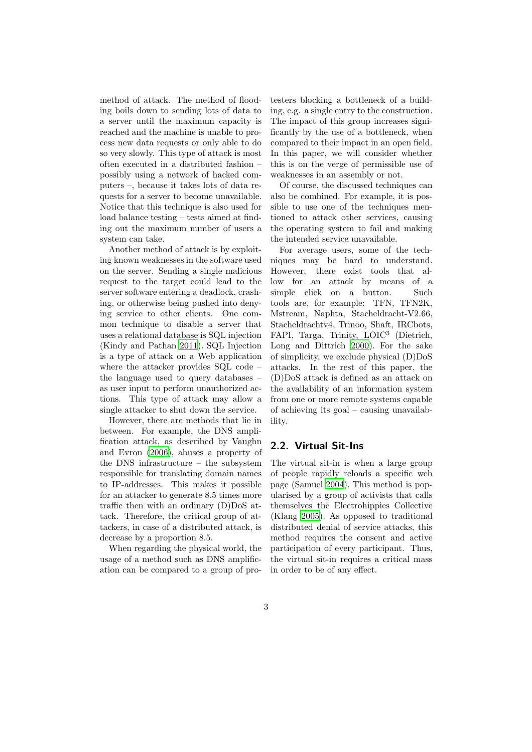method of attack. The method of flooding boils down to sending lots of data to a server until the maximum capacity is reached and the machine is unable to process new data requests or only able to do so very slowly. This type of attack is most often executed in a distributed fashion – possibly using a network of hacked computers –, because it takes lots of data requests for a server to become unavailable. Notice that this technique is also used for load balance testing – tests aimed at finding out the maximum number of users a system can take.

Another method of attack is by exploiting known weaknesses in the software used on the server. Sending a single malicious request to the target could lead to the server software entering a deadlock, crashing, or otherwise being pushed into denying service to other clients. One common technique to disable a server that uses a relational database is SQL injection (Kindy and Pathan [2011](#page-23-5)). SQL Injection is a type of attack on a Web application where the attacker provides SQL code – the language used to query databases – as user input to perform unauthorized actions. This type of attack may allow a single attacker to shut down the service.

However, there are methods that lie in between. For example, the DNS amplification attack, as described by Vaughn and Evron [\(2006\)](#page-24-1), abuses a property of the DNS infrastructure – the subsystem responsible for translating domain names to IP-addresses. This makes it possible for an attacker to generate 8.5 times more traffic then with an ordinary (D)DoS attack. Therefore, the critical group of attackers, in case of a distributed attack, is decrease by a proportion 8.5.

When regarding the physical world, the usage of a method such as DNS amplification can be compared to a group of pro-

testers blocking a bottleneck of a building, e.g. a single entry to the construction. The impact of this group increases significantly by the use of a bottleneck, when compared to their impact in an open field. In this paper, we will consider whether this is on the verge of permissible use of weaknesses in an assembly or not.

Of course, the discussed techniques can also be combined. For example, it is possible to use one of the techniques mentioned to attack other services, causing the operating system to fail and making the intended service unavailable.

For average users, some of the techniques may be hard to understand. However, there exist tools that allow for an attack by means of a simple click on a button. Such tools are, for example: TFN, TFN2K, Mstream, Naphta, Stacheldracht-V2.66, Stacheldrachtv4, Trinoo, Shaft, IRCbots, FAPI, Targa, Trinity, LOIC<sup>3</sup> (Dietrich, Long and Dittrich [2000\)](#page-23-6). For the sake of simplicity, we exclude physical (D)DoS attacks. In the rest of this paper, the (D)DoS attack is defined as an attack on the availability of an information system from one or more remote systems capable of achieving its goal – causing unavailability.

### <span id="page-2-0"></span>2.2. Virtual Sit-Ins

The virtual sit-in is when a large group of people rapidly reloads a specific web page (Samuel [2004\)](#page-23-3). This method is popularised by a group of activists that calls themselves the Electrohippies Collective (Klang [2005](#page-23-1)). As opposed to traditional distributed denial of service attacks, this method requires the consent and active participation of every participant. Thus, the virtual sit-in requires a critical mass in order to be of any effect.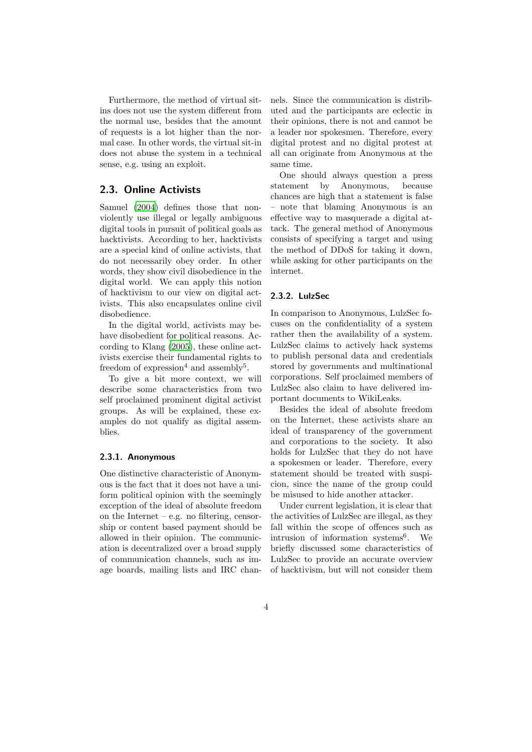Furthermore, the method of virtual sitins does not use the system different from the normal use, besides that the amount of requests is a lot higher than the normal case. In other words, the virtual sit-in does not abuse the system in a technical sense, e.g. using an exploit.

## 2.3. Online Activists

Samuel [\(2004](#page-23-3)) defines those that nonviolently use illegal or legally ambiguous digital tools in pursuit of political goals as hacktivists. According to her, hacktivists are a special kind of online activists, that do not necessarily obey order. In other words, they show civil disobedience in the digital world. We can apply this notion of hacktivism to our view on digital activists. This also encapsulates online civil disobedience.

In the digital world, activists may behave disobedient for political reasons. According to Klang [\(2005](#page-23-1)), these online activists exercise their fundamental rights to freedom of  $\alpha$ <sup>4</sup> and assembly<sup>5</sup>.

To give a bit more context, we will describe some characteristics from two self proclaimed prominent digital activist groups. As will be explained, these examples do not qualify as digital assemblies.

### 2.3.1. Anonymous

One distinctive characteristic of Anonymous is the fact that it does not have a uniform political opinion with the seemingly exception of the ideal of absolute freedom on the Internet – e.g. no filtering, censorship or content based payment should be allowed in their opinion. The communication is decentralized over a broad supply of communication channels, such as image boards, mailing lists and IRC chan-

nels. Since the communication is distributed and the participants are eclectic in their opinions, there is not and cannot be a leader nor spokesmen. Therefore, every digital protest and no digital protest at all can originate from Anonymous at the same time.

One should always question a press statement by Anonymous, because chances are high that a statement is false – note that blaming Anonymous is an effective way to masquerade a digital attack. The general method of Anonymous consists of specifying a target and using the method of DDoS for taking it down, while asking for other participants on the internet.

#### 2.3.2. LulzSec

In comparison to Anonymous, LulzSec focuses on the confidentiality of a system rather then the availability of a system. LulzSec claims to actively hack systems to publish personal data and credentials stored by governments and multinational corporations. Self proclaimed members of LulzSec also claim to have delivered important documents to WikiLeaks.

Besides the ideal of absolute freedom on the Internet, these activists share an ideal of transparency of the government and corporations to the society. It also holds for LulzSec that they do not have a spokesmen or leader. Therefore, every statement should be treated with suspicion, since the name of the group could be misused to hide another attacker.

Under current legislation, it is clear that the activities of LulzSec are illegal, as they fall within the scope of offences such as intrusion of information systems<sup>6</sup>. . We briefly discussed some characteristics of LulzSec to provide an accurate overview of hacktivism, but will not consider them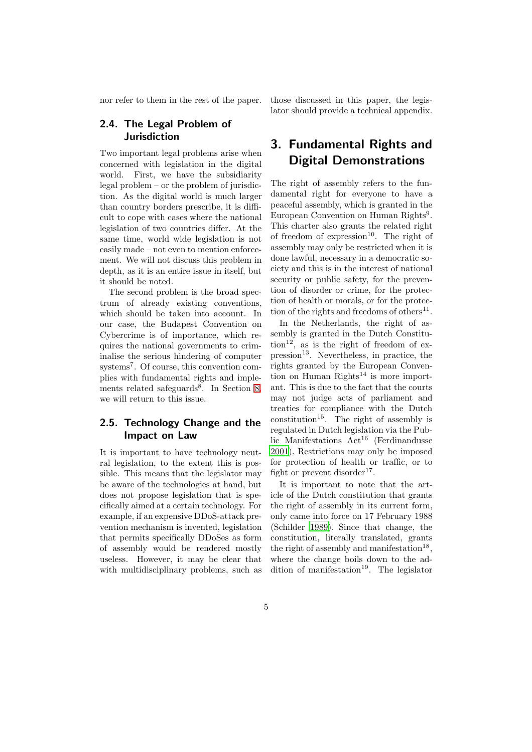nor refer to them in the rest of the paper.

## 2.4. The Legal Problem of Jurisdiction

Two important legal problems arise when concerned with legislation in the digital world. First, we have the subsidiarity legal problem – or the problem of jurisdiction. As the digital world is much larger than country borders prescribe, it is difficult to cope with cases where the national legislation of two countries differ. At the same time, world wide legislation is not easily made – not even to mention enforcement. We will not discuss this problem in depth, as it is an entire issue in itself, but it should be noted.

The second problem is the broad spectrum of already existing conventions, which should be taken into account. In our case, the Budapest Convention on Cybercrime is of importance, which requires the national governments to criminalise the serious hindering of computer systems<sup>7</sup> . Of course, this convention complies with fundamental rights and imple-ments related safeguards<sup>8</sup>. In Section [8,](#page-13-0) we will return to this issue.

## 2.5. Technology Change and the Impact on Law

It is important to have technology neutral legislation, to the extent this is possible. This means that the legislator may be aware of the technologies at hand, but does not propose legislation that is specifically aimed at a certain technology. For example, if an expensive DDoS-attack prevention mechanism is invented, legislation that permits specifically DDoSes as form of assembly would be rendered mostly useless. However, it may be clear that with multidisciplinary problems, such as those discussed in this paper, the legislator should provide a technical appendix.

## <span id="page-4-0"></span>3. Fundamental Rights and Digital Demonstrations

The right of assembly refers to the fundamental right for everyone to have a peaceful assembly, which is granted in the European Convention on Human Rights<sup>9</sup>. This charter also grants the related right of freedom of  $\exp$ expression<sup>10</sup>. The right of assembly may only be restricted when it is done lawful, necessary in a democratic society and this is in the interest of national security or public safety, for the prevention of disorder or crime, for the protection of health or morals, or for the protection of the rights and freedoms of others<sup>11</sup>.

In the Netherlands, the right of assembly is granted in the Dutch Constitu- $\text{tion}^{12}$ , as is the right of freedom of ex $presion<sup>13</sup>$ . Nevertheless, in practice, the rights granted by the European Convention on Human  $RightS<sup>14</sup>$  is more important. This is due to the fact that the courts may not judge acts of parliament and treaties for compliance with the Dutch constitution<sup>15</sup>. The right of assembly is regulated in Dutch legislation via the Public Manifestations  $Act^{16}$  (Ferdinandusse [2001\)](#page-23-7). Restrictions may only be imposed for protection of health or traffic, or to fight or prevent disorder<sup>17</sup>.

It is important to note that the article of the Dutch constitution that grants the right of assembly in its current form, only came into force on 17 February 1988 (Schilder [1989\)](#page-23-8). Since that change, the constitution, literally translated, grants the right of assembly and manifestation<sup>18</sup>, where the change boils down to the addition of manifestation<sup>19</sup>. The legislator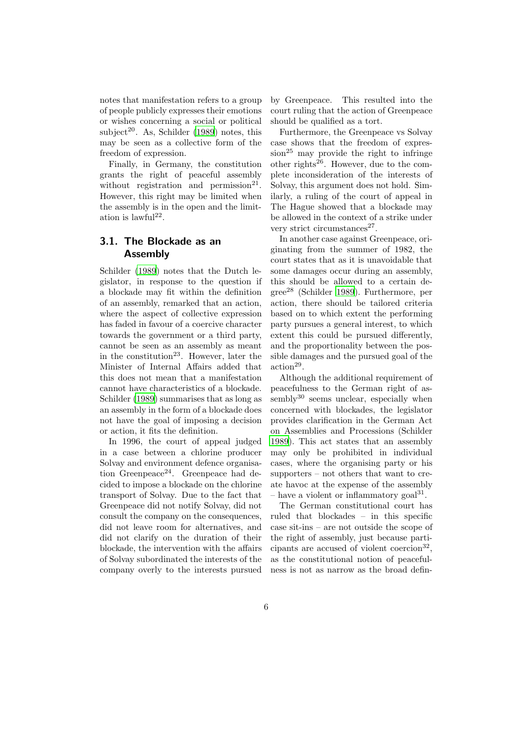notes that manifestation refers to a group of people publicly expresses their emotions or wishes concerning a social or political subject<sup>20</sup>. As, Schilder [\(1989\)](#page-23-8) notes, this may be seen as a collective form of the freedom of expression.

Finally, in Germany, the constitution grants the right of peaceful assembly without registration and permission<sup>21</sup>. However, this right may be limited when the assembly is in the open and the limitation is  $lawful<sup>22</sup>$ .

## 3.1. The Blockade as an Assembly

Schilder [\(1989\)](#page-23-8) notes that the Dutch legislator, in response to the question if a blockade may fit within the definition of an assembly, remarked that an action, where the aspect of collective expression has faded in favour of a coercive character towards the government or a third party, cannot be seen as an assembly as meant in the constitution<sup>23</sup>. However, later the Minister of Internal Affairs added that this does not mean that a manifestation cannot have characteristics of a blockade. Schilder [\(1989\)](#page-23-8) summarises that as long as an assembly in the form of a blockade does not have the goal of imposing a decision or action, it fits the definition.

In 1996, the court of appeal judged in a case between a chlorine producer Solvay and environment defence organisation Greenpeace<sup>24</sup>. Greenpeace had decided to impose a blockade on the chlorine transport of Solvay. Due to the fact that Greenpeace did not notify Solvay, did not consult the company on the consequences, did not leave room for alternatives, and did not clarify on the duration of their blockade, the intervention with the affairs of Solvay subordinated the interests of the company overly to the interests pursued

by Greenpeace. This resulted into the court ruling that the action of Greenpeace should be qualified as a tort.

Furthermore, the Greenpeace vs Solvay case shows that the freedom of expres- $\sin^{25}$  may provide the right to infringe other rights $^{26}$ . However, due to the complete inconsideration of the interests of Solvay, this argument does not hold. Similarly, a ruling of the court of appeal in The Hague showed that a blockade may be allowed in the context of a strike under very strict circumstances<sup>27</sup>.

In another case against Greenpeace, originating from the summer of 1982, the court states that as it is unavoidable that some damages occur during an assembly, this should be allowed to a certain degree<sup>28</sup> (Schilder [1989](#page-23-8)). Furthermore, per action, there should be tailored criteria based on to which extent the performing party pursues a general interest, to which extent this could be pursued differently, and the proportionality between the possible damages and the pursued goal of the  $\arctan^{29}$ .

Although the additional requirement of peacefulness to the German right of as- $\text{semblv}^{30}$  seems unclear, especially when concerned with blockades, the legislator provides clarification in the German Act on Assemblies and Processions (Schilder [1989\)](#page-23-8). This act states that an assembly may only be prohibited in individual cases, where the organising party or his supporters – not others that want to create havoc at the expense of the assembly - have a violent or inflammatory goal<sup>31</sup>.

The German constitutional court has ruled that blockades – in this specific case sit-ins – are not outside the scope of the right of assembly, just because participants are accused of violent coercion<sup>32</sup>, as the constitutional notion of peacefulness is not as narrow as the broad defin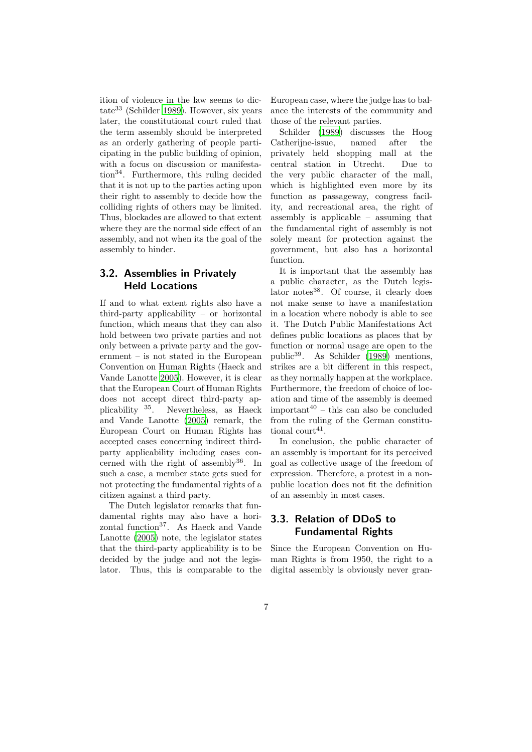ition of violence in the law seems to dictate<sup>33</sup> (Schilder [1989\)](#page-23-8). However, six years later, the constitutional court ruled that the term assembly should be interpreted as an orderly gathering of people participating in the public building of opinion, with a focus on discussion or manifestation<sup>34</sup>. Furthermore, this ruling decided that it is not up to the parties acting upon their right to assembly to decide how the colliding rights of others may be limited. Thus, blockades are allowed to that extent where they are the normal side effect of an assembly, and not when its the goal of the assembly to hinder.

## 3.2. Assemblies in Privately Held Locations

If and to what extent rights also have a third-party applicability – or horizontal function, which means that they can also hold between two private parties and not only between a private party and the government – is not stated in the European Convention on Human Rights (Haeck and Vande Lanotte [2005](#page-23-9)). However, it is clear that the European Court of Human Rights does not accept direct third-party applicability <sup>35</sup>. Nevertheless, as Haeck and Vande Lanotte [\(2005\)](#page-23-9) remark, the European Court on Human Rights has accepted cases concerning indirect thirdparty applicability including cases concerned with the right of assembly  $36$ . In such a case, a member state gets sued for not protecting the fundamental rights of a citizen against a third party.

The Dutch legislator remarks that fundamental rights may also have a horizontal function<sup>37</sup>. As Haeck and Vande Lanotte [\(2005](#page-23-9)) note, the legislator states that the third-party applicability is to be decided by the judge and not the legislator. Thus, this is comparable to the European case, where the judge has to balance the interests of the community and those of the relevant parties.

Schilder [\(1989\)](#page-23-8) discusses the Hoog Catherijne-issue, named after the privately held shopping mall at the central station in Utrecht. Due to the very public character of the mall, which is highlighted even more by its function as passageway, congress facility, and recreational area, the right of assembly is applicable – assuming that the fundamental right of assembly is not solely meant for protection against the government, but also has a horizontal function.

It is important that the assembly has a public character, as the Dutch legislator notes<sup>38</sup>. Of course, it clearly does not make sense to have a manifestation in a location where nobody is able to see it. The Dutch Public Manifestations Act defines public locations as places that by function or normal usage are open to the public<sup>39</sup>. As Schilder [\(1989\)](#page-23-8) mentions, strikes are a bit different in this respect, as they normally happen at the workplace. Furthermore, the freedom of choice of location and time of the assembly is deemed important $40$  – this can also be concluded from the ruling of the German constitutional court<sup>41</sup>.

In conclusion, the public character of an assembly is important for its perceived goal as collective usage of the freedom of expression. Therefore, a protest in a nonpublic location does not fit the definition of an assembly in most cases.

## 3.3. Relation of DDoS to Fundamental Rights

Since the European Convention on Human Rights is from 1950, the right to a digital assembly is obviously never gran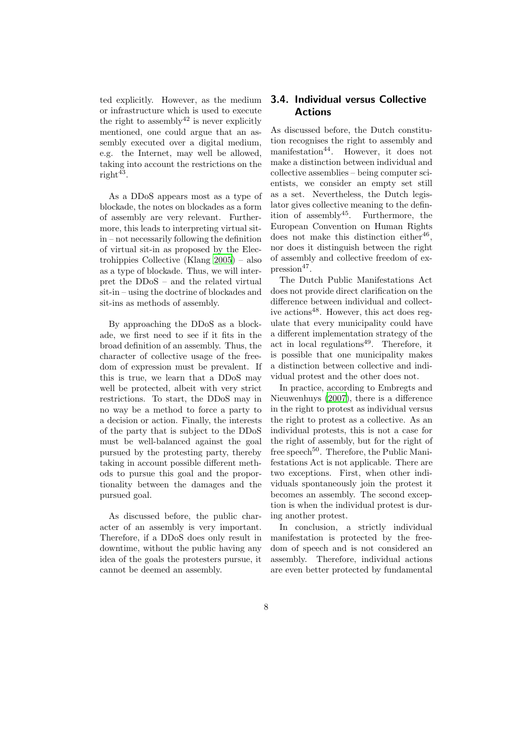ted explicitly. However, as the medium or infrastructure which is used to execute the right to assembly  $42$  is never explicitly mentioned, one could argue that an assembly executed over a digital medium, e.g. the Internet, may well be allowed, taking into account the restrictions on the  $\text{right}^{43}$ .

As a DDoS appears most as a type of blockade, the notes on blockades as a form of assembly are very relevant. Furthermore, this leads to interpreting virtual sitin – not necessarily following the definition of virtual sit-in as proposed by the Electrohippies Collective (Klang [2005](#page-23-1)) – also as a type of blockade. Thus, we will interpret the DDoS – and the related virtual sit-in – using the doctrine of blockades and sit-ins as methods of assembly.

By approaching the DDoS as a blockade, we first need to see if it fits in the broad definition of an assembly. Thus, the character of collective usage of the freedom of expression must be prevalent. If this is true, we learn that a DDoS may well be protected, albeit with very strict restrictions. To start, the DDoS may in no way be a method to force a party to a decision or action. Finally, the interests of the party that is subject to the DDoS must be well-balanced against the goal pursued by the protesting party, thereby taking in account possible different methods to pursue this goal and the proportionality between the damages and the pursued goal.

As discussed before, the public character of an assembly is very important. Therefore, if a DDoS does only result in downtime, without the public having any idea of the goals the protesters pursue, it cannot be deemed an assembly.

## 3.4. Individual versus Collective Actions

As discussed before, the Dutch constitution recognises the right to assembly and manifestation<sup>44</sup>. However, it does not make a distinction between individual and collective assemblies – being computer scientists, we consider an empty set still as a set. Nevertheless, the Dutch legislator gives collective meaning to the definition of assembly  $45$ . Furthermore, the European Convention on Human Rights does not make this distinction either<sup>46</sup>, nor does it distinguish between the right of assembly and collective freedom of ex $presion<sup>47</sup>$ .

The Dutch Public Manifestations Act does not provide direct clarification on the difference between individual and collective actions<sup>48</sup>. However, this act does regulate that every municipality could have a different implementation strategy of the act in local regulations<sup>49</sup>. Therefore, it is possible that one municipality makes a distinction between collective and individual protest and the other does not.

In practice, according to Embregts and Nieuwenhuys [\(2007](#page-23-10)), there is a difference in the right to protest as individual versus the right to protest as a collective. As an individual protests, this is not a case for the right of assembly, but for the right of free speech<sup>50</sup>. Therefore, the Public Manifestations Act is not applicable. There are two exceptions. First, when other individuals spontaneously join the protest it becomes an assembly. The second exception is when the individual protest is during another protest.

In conclusion, a strictly individual manifestation is protected by the freedom of speech and is not considered an assembly. Therefore, individual actions are even better protected by fundamental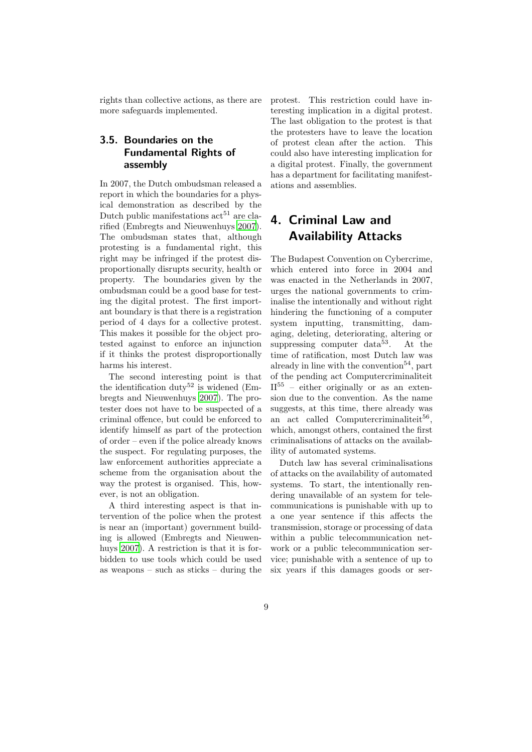rights than collective actions, as there are more safeguards implemented.

## <span id="page-8-1"></span>3.5. Boundaries on the Fundamental Rights of assembly

In 2007, the Dutch ombudsman released a report in which the boundaries for a physical demonstration as described by the Dutch public manifestations  $\arctan 51$  are clarified (Embregts and Nieuwenhuys [2007](#page-23-10)). The ombudsman states that, although protesting is a fundamental right, this right may be infringed if the protest disproportionally disrupts security, health or property. The boundaries given by the ombudsman could be a good base for testing the digital protest. The first important boundary is that there is a registration period of 4 days for a collective protest. This makes it possible for the object protested against to enforce an injunction if it thinks the protest disproportionally harms his interest.

The second interesting point is that the identification duty<sup>52</sup> is widened (Embregts and Nieuwenhuys [2007](#page-23-10)). The protester does not have to be suspected of a criminal offence, but could be enforced to identify himself as part of the protection of order – even if the police already knows the suspect. For regulating purposes, the law enforcement authorities appreciate a scheme from the organisation about the way the protest is organised. This, however, is not an obligation.

A third interesting aspect is that intervention of the police when the protest is near an (important) government building is allowed (Embregts and Nieuwenhuys [2007](#page-23-10)). A restriction is that it is forbidden to use tools which could be used as weapons – such as sticks – during the protest. This restriction could have interesting implication in a digital protest. The last obligation to the protest is that the protesters have to leave the location of protest clean after the action. This could also have interesting implication for a digital protest. Finally, the government has a department for facilitating manifestations and assemblies.

## <span id="page-8-0"></span>4. Criminal Law and Availability Attacks

The Budapest Convention on Cybercrime, which entered into force in 2004 and was enacted in the Netherlands in 2007, urges the national governments to criminalise the intentionally and without right hindering the functioning of a computer system inputting, transmitting, damaging, deleting, deteriorating, altering or suppressing computer  $data^{53}$ . At the time of ratification, most Dutch law was already in line with the convention<sup>54</sup>, part of the pending act Computercriminaliteit  $II<sup>55</sup>$  – either originally or as an extension due to the convention. As the name suggests, at this time, there already was an act called Computercriminaliteit<sup>56</sup>, which, amongst others, contained the first criminalisations of attacks on the availability of automated systems.

Dutch law has several criminalisations of attacks on the availability of automated systems. To start, the intentionally rendering unavailable of an system for telecommunications is punishable with up to a one year sentence if this affects the transmission, storage or processing of data within a public telecommunication network or a public telecommunication service; punishable with a sentence of up to six years if this damages goods or ser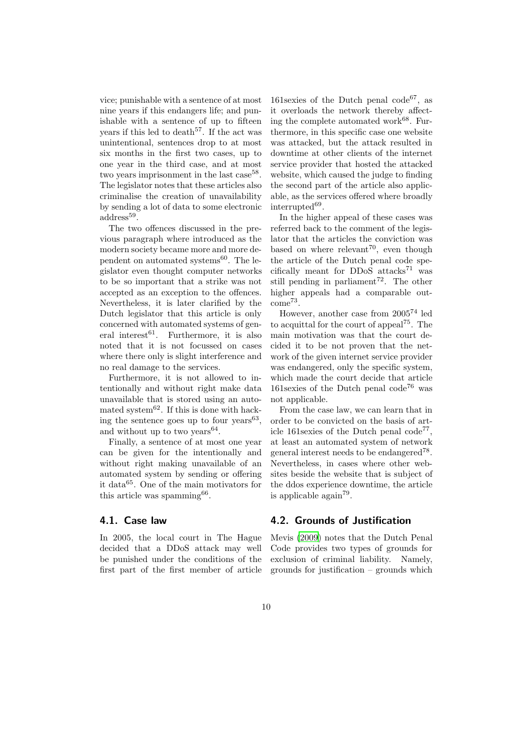vice; punishable with a sentence of at most nine years if this endangers life; and punishable with a sentence of up to fifteen years if this led to death<sup>57</sup>. If the act was unintentional, sentences drop to at most six months in the first two cases, up to one year in the third case, and at most two years imprisonment in the last case<sup>58</sup>. The legislator notes that these articles also criminalise the creation of unavailability by sending a lot of data to some electronic address<sup>59</sup>.

The two offences discussed in the previous paragraph where introduced as the modern society became more and more dependent on automated systems $^{60}$ . The legislator even thought computer networks to be so important that a strike was not accepted as an exception to the offences. Nevertheless, it is later clarified by the Dutch legislator that this article is only concerned with automated systems of general interest<sup>61</sup>. Furthermore, it is also noted that it is not focussed on cases where there only is slight interference and no real damage to the services.

Furthermore, it is not allowed to intentionally and without right make data unavailable that is stored using an automated system $62$ . If this is done with hacking the sentence goes up to four years<sup>63</sup>, and without up to two years<sup>64</sup>.

Finally, a sentence of at most one year can be given for the intentionally and without right making unavailable of an automated system by sending or offering it data<sup>65</sup>. One of the main motivators for this article was spamming<sup>66</sup>.

#### 4.1. Case law

In 2005, the local court in The Hague decided that a DDoS attack may well be punished under the conditions of the first part of the first member of article

161sexies of the Dutch penal  $code^{67}$ , as it overloads the network thereby affecting the complete automated work $68$ . Furthermore, in this specific case one website was attacked, but the attack resulted in downtime at other clients of the internet service provider that hosted the attacked website, which caused the judge to finding the second part of the article also applicable, as the services offered where broadly interrupted<sup>69</sup>.

In the higher appeal of these cases was referred back to the comment of the legislator that the articles the conviction was based on where relevant<sup>70</sup>, even though the article of the Dutch penal code specifically meant for DDoS attacks<sup>71</sup> was still pending in parliament<sup>72</sup>. The other higher appeals had a comparable outcome<sup>73</sup> .

However, another case from 2005<sup>74</sup> led to acquittal for the court of appeal<sup>75</sup>. The main motivation was that the court decided it to be not proven that the network of the given internet service provider was endangered, only the specific system, which made the court decide that article 161 sexies of the Dutch penal code<sup>76</sup> was not applicable.

From the case law, we can learn that in order to be convicted on the basis of article 161sexies of the Dutch penal code<sup>77</sup> , at least an automated system of network general interest needs to be endangered<sup>78</sup>. Nevertheless, in cases where other websites beside the website that is subject of the ddos experience downtime, the article is applicable again<sup>79</sup> .

### 4.2. Grounds of Justification

Mevis [\(2009\)](#page-23-11) notes that the Dutch Penal Code provides two types of grounds for exclusion of criminal liability. Namely, grounds for justification – grounds which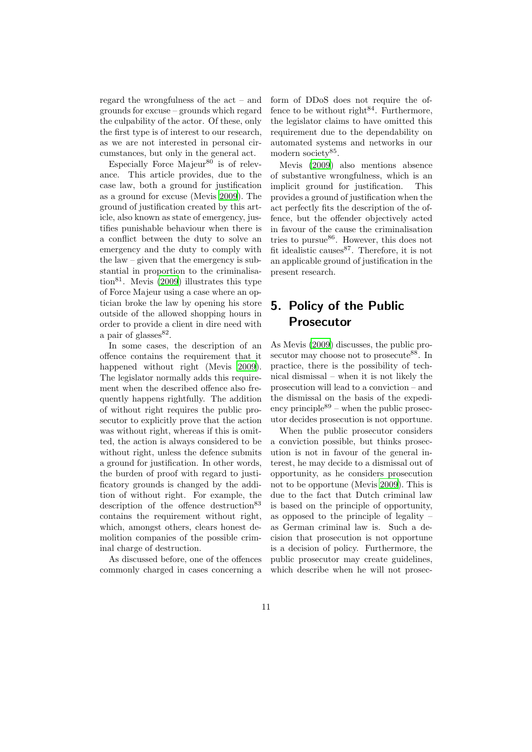regard the wrongfulness of the act – and grounds for excuse – grounds which regard the culpability of the actor. Of these, only the first type is of interest to our research, as we are not interested in personal circumstances, but only in the general act.

Especially Force Majeur<sup>80</sup> is of relevance. This article provides, due to the case law, both a ground for justification as a ground for excuse (Mevis [2009\)](#page-23-11). The ground of justification created by this article, also known as state of emergency, justifies punishable behaviour when there is a conflict between the duty to solve an emergency and the duty to comply with the law – given that the emergency is substantial in proportion to the criminalisa-tion<sup>81</sup>. Mevis [\(2009](#page-23-11)) illustrates this type of Force Majeur using a case where an optician broke the law by opening his store outside of the allowed shopping hours in order to provide a client in dire need with a pair of glasses $82$ .

In some cases, the description of an offence contains the requirement that it happened without right (Mevis [2009](#page-23-11)). The legislator normally adds this requirement when the described offence also frequently happens rightfully. The addition of without right requires the public prosecutor to explicitly prove that the action was without right, whereas if this is omitted, the action is always considered to be without right, unless the defence submits a ground for justification. In other words, the burden of proof with regard to justificatory grounds is changed by the addition of without right. For example, the description of the offence destruction<sup>83</sup> contains the requirement without right, which, amongst others, clears honest demolition companies of the possible criminal charge of destruction.

As discussed before, one of the offences commonly charged in cases concerning a form of DDoS does not require the offence to be without right<sup>84</sup>. Furthermore, the legislator claims to have omitted this requirement due to the dependability on automated systems and networks in our modern society<sup>85</sup>.

Mevis [\(2009](#page-23-11)) also mentions absence of substantive wrongfulness, which is an implicit ground for justification. This provides a ground of justification when the act perfectly fits the description of the offence, but the offender objectively acted in favour of the cause the criminalisation tries to pursue<sup>86</sup>. However, this does not fit idealistic causes  $87$ . Therefore, it is not an applicable ground of justification in the present research.

## <span id="page-10-0"></span>5. Policy of the Public Prosecutor

As Mevis [\(2009](#page-23-11)) discusses, the public prosecutor may choose not to prosecute<sup>88</sup>. In practice, there is the possibility of technical dismissal – when it is not likely the prosecution will lead to a conviction – and the dismissal on the basis of the expediency principle $89$  – when the public prosecutor decides prosecution is not opportune.

When the public prosecutor considers a conviction possible, but thinks prosecution is not in favour of the general interest, he may decide to a dismissal out of opportunity, as he considers prosecution not to be opportune (Mevis [2009](#page-23-11)). This is due to the fact that Dutch criminal law is based on the principle of opportunity, as opposed to the principle of legality – as German criminal law is. Such a decision that prosecution is not opportune is a decision of policy. Furthermore, the public prosecutor may create guidelines, which describe when he will not prosec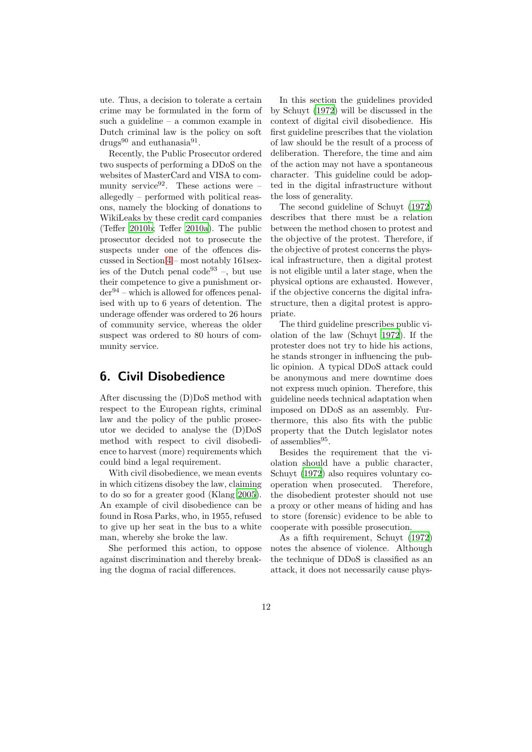ute. Thus, a decision to tolerate a certain crime may be formulated in the form of such a guideline – a common example in Dutch criminal law is the policy on soft  $\text{drugs}^{90}$  and euthanasia<sup>91</sup>.

Recently, the Public Prosecutor ordered two suspects of performing a DDoS on the websites of MasterCard and VISA to community service<sup>92</sup>. These actions were  $$ allegedly – performed with political reasons, namely the blocking of donations to WikiLeaks by these credit card companies (Teffer [2010b;](#page-24-0) Teffer [2010a](#page-24-2)). The public prosecutor decided not to prosecute the suspects under one of the offences discussed in Section [4](#page-8-0) – most notably 161sexies of the Dutch penal code<sup>93</sup> –, but use their competence to give a punishment or $der<sup>94</sup> - which is allowed for officers penal$ ised with up to 6 years of detention. The underage offender was ordered to 26 hours of community service, whereas the older suspect was ordered to 80 hours of community service.

## <span id="page-11-0"></span>6. Civil Disobedience

After discussing the (D)DoS method with respect to the European rights, criminal law and the policy of the public prosecutor we decided to analyse the (D)DoS method with respect to civil disobedience to harvest (more) requirements which could bind a legal requirement.

With civil disobedience, we mean events in which citizens disobey the law, claiming to do so for a greater good (Klang [2005](#page-23-1)). An example of civil disobedience can be found in Rosa Parks, who, in 1955, refused to give up her seat in the bus to a white man, whereby she broke the law.

She performed this action, to oppose against discrimination and thereby breaking the dogma of racial differences.

In this section the guidelines provided by Schuyt [\(1972](#page-24-3)) will be discussed in the context of digital civil disobedience. His first guideline prescribes that the violation of law should be the result of a process of deliberation. Therefore, the time and aim of the action may not have a spontaneous character. This guideline could be adopted in the digital infrastructure without the loss of generality.

The second guideline of Schuyt [\(1972\)](#page-24-3) describes that there must be a relation between the method chosen to protest and the objective of the protest. Therefore, if the objective of protest concerns the physical infrastructure, then a digital protest is not eligible until a later stage, when the physical options are exhausted. However, if the objective concerns the digital infrastructure, then a digital protest is appropriate.

The third guideline prescribes public violation of the law (Schuyt [1972\)](#page-24-3). If the protester does not try to hide his actions, he stands stronger in influencing the public opinion. A typical DDoS attack could be anonymous and mere downtime does not express much opinion. Therefore, this guideline needs technical adaptation when imposed on DDoS as an assembly. Furthermore, this also fits with the public property that the Dutch legislator notes of assemblies $^{95}$ .

Besides the requirement that the violation should have a public character, Schuyt [\(1972\)](#page-24-3) also requires voluntary cooperation when prosecuted. Therefore, the disobedient protester should not use a proxy or other means of hiding and has to store (forensic) evidence to be able to cooperate with possible prosecution.

As a fifth requirement, Schuyt [\(1972\)](#page-24-3) notes the absence of violence. Although the technique of DDoS is classified as an attack, it does not necessarily cause phys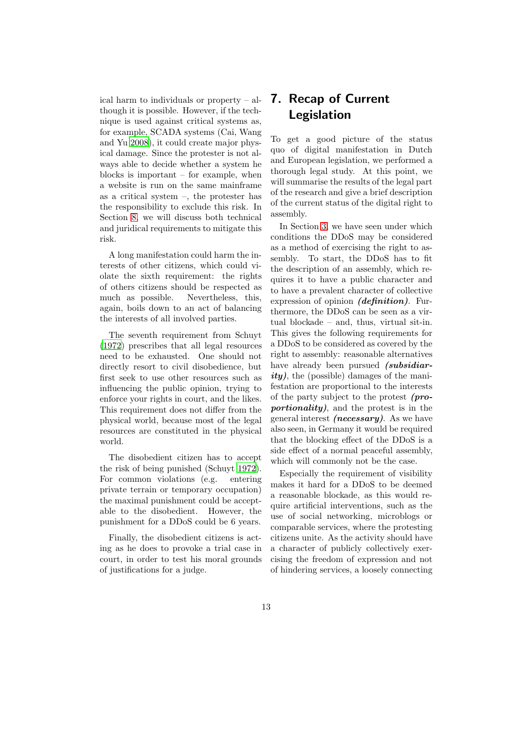ical harm to individuals or property – although it is possible. However, if the technique is used against critical systems as, for example, SCADA systems (Cai, Wang and Yu [2008](#page-22-1)), it could create major physical damage. Since the protester is not always able to decide whether a system he blocks is important – for example, when a website is run on the same mainframe as a critical system –, the protester has the responsibility to exclude this risk. In Section [8,](#page-13-0) we will discuss both technical and juridical requirements to mitigate this risk.

A long manifestation could harm the interests of other citizens, which could violate the sixth requirement: the rights of others citizens should be respected as much as possible. Nevertheless, this, again, boils down to an act of balancing the interests of all involved parties.

The seventh requirement from Schuyt [\(1972\)](#page-24-3) prescribes that all legal resources need to be exhausted. One should not directly resort to civil disobedience, but first seek to use other resources such as influencing the public opinion, trying to enforce your rights in court, and the likes. This requirement does not differ from the physical world, because most of the legal resources are constituted in the physical world.

The disobedient citizen has to accept the risk of being punished (Schuyt [1972](#page-24-3)). For common violations (e.g. entering private terrain or temporary occupation) the maximal punishment could be acceptable to the disobedient. However, the punishment for a DDoS could be 6 years.

Finally, the disobedient citizens is acting as he does to provoke a trial case in court, in order to test his moral grounds of justifications for a judge.

## <span id="page-12-0"></span>7. Recap of Current Legislation

To get a good picture of the status quo of digital manifestation in Dutch and European legislation, we performed a thorough legal study. At this point, we will summarise the results of the legal part of the research and give a brief description of the current status of the digital right to assembly.

In Section [3,](#page-4-0) we have seen under which conditions the DDoS may be considered as a method of exercising the right to assembly. To start, the DDoS has to fit the description of an assembly, which requires it to have a public character and to have a prevalent character of collective expression of opinion *(definition)*. Furthermore, the DDoS can be seen as a virtual blockade – and, thus, virtual sit-in. This gives the following requirements for a DDoS to be considered as covered by the right to assembly: reasonable alternatives have already been pursued (subsidiar $ity)$ , the (possible) damages of the manifestation are proportional to the interests of the party subject to the protest (proportionality), and the protest is in the general interest (necessary). As we have also seen, in Germany it would be required that the blocking effect of the DDoS is a side effect of a normal peaceful assembly, which will commonly not be the case.

Especially the requirement of visibility makes it hard for a DDoS to be deemed a reasonable blockade, as this would require artificial interventions, such as the use of social networking, microblogs or comparable services, where the protesting citizens unite. As the activity should have a character of publicly collectively exercising the freedom of expression and not of hindering services, a loosely connecting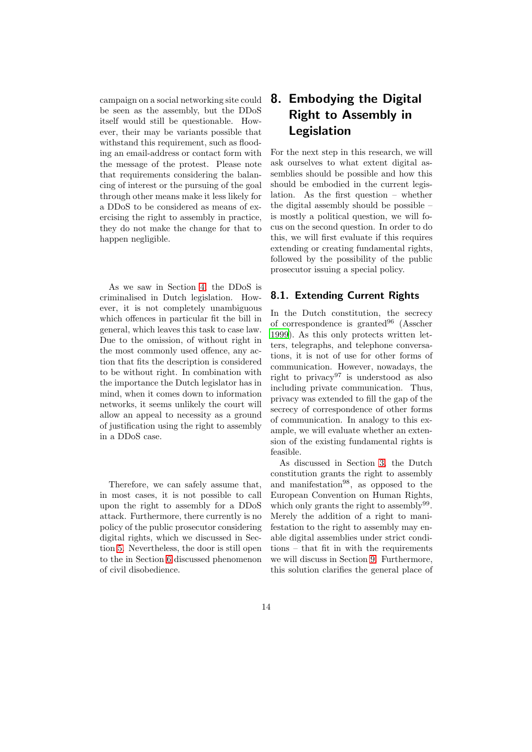campaign on a social networking site could be seen as the assembly, but the DDoS itself would still be questionable. However, their may be variants possible that withstand this requirement, such as flooding an email-address or contact form with the message of the protest. Please note that requirements considering the balancing of interest or the pursuing of the goal through other means make it less likely for a DDoS to be considered as means of exercising the right to assembly in practice, they do not make the change for that to happen negligible.

As we saw in Section [4,](#page-8-0) the DDoS is criminalised in Dutch legislation. However, it is not completely unambiguous which offences in particular fit the bill in general, which leaves this task to case law. Due to the omission, of without right in the most commonly used offence, any action that fits the description is considered to be without right. In combination with the importance the Dutch legislator has in mind, when it comes down to information networks, it seems unlikely the court will allow an appeal to necessity as a ground of justification using the right to assembly in a DDoS case.

Therefore, we can safely assume that, in most cases, it is not possible to call upon the right to assembly for a DDoS attack. Furthermore, there currently is no policy of the public prosecutor considering digital rights, which we discussed in Section [5.](#page-10-0) Nevertheless, the door is still open to the in Section [6](#page-11-0) discussed phenomenon of civil disobedience.

## <span id="page-13-0"></span>8. Embodying the Digital Right to Assembly in Legislation

For the next step in this research, we will ask ourselves to what extent digital assemblies should be possible and how this should be embodied in the current legislation. As the first question – whether the digital assembly should be possible – is mostly a political question, we will focus on the second question. In order to do this, we will first evaluate if this requires extending or creating fundamental rights, followed by the possibility of the public prosecutor issuing a special policy.

## 8.1. Extending Current Rights

In the Dutch constitution, the secrecy of correspondence is granted $96$  (Asscher [1999\)](#page-22-2). As this only protects written letters, telegraphs, and telephone conversations, it is not of use for other forms of communication. However, nowadays, the right to privacy<sup>97</sup> is understood as also including private communication. Thus, privacy was extended to fill the gap of the secrecy of correspondence of other forms of communication. In analogy to this example, we will evaluate whether an extension of the existing fundamental rights is feasible.

As discussed in Section [3,](#page-4-0) the Dutch constitution grants the right to assembly and manifestation<sup>98</sup>, as opposed to the European Convention on Human Rights, which only grants the right to assembly<sup>99</sup>. Merely the addition of a right to manifestation to the right to assembly may enable digital assemblies under strict conditions – that fit in with the requirements we will discuss in Section [9.](#page-14-0) Furthermore, this solution clarifies the general place of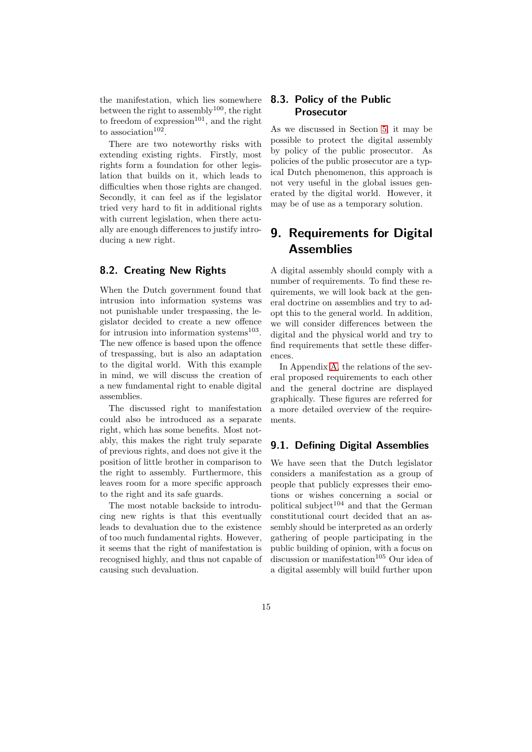the manifestation, which lies somewhere between the right to assembly<sup>100</sup>, the right to freedom of expression<sup>101</sup>, and the right to association<sup>102</sup>.

There are two noteworthy risks with extending existing rights. Firstly, most rights form a foundation for other legislation that builds on it, which leads to difficulties when those rights are changed. Secondly, it can feel as if the legislator tried very hard to fit in additional rights with current legislation, when there actually are enough differences to justify introducing a new right.

## 8.2. Creating New Rights

When the Dutch government found that intrusion into information systems was not punishable under trespassing, the legislator decided to create a new offence for intrusion into information systems $^{103}$ . The new offence is based upon the offence of trespassing, but is also an adaptation to the digital world. With this example in mind, we will discuss the creation of a new fundamental right to enable digital assemblies.

The discussed right to manifestation could also be introduced as a separate right, which has some benefits. Most notably, this makes the right truly separate of previous rights, and does not give it the position of little brother in comparison to the right to assembly. Furthermore, this leaves room for a more specific approach to the right and its safe guards.

The most notable backside to introducing new rights is that this eventually leads to devaluation due to the existence of too much fundamental rights. However, it seems that the right of manifestation is recognised highly, and thus not capable of causing such devaluation.

## 8.3. Policy of the Public Prosecutor

As we discussed in Section [5,](#page-10-0) it may be possible to protect the digital assembly by policy of the public prosecutor. As policies of the public prosecutor are a typical Dutch phenomenon, this approach is not very useful in the global issues generated by the digital world. However, it may be of use as a temporary solution.

## <span id="page-14-0"></span>9. Requirements for Digital **Assemblies**

A digital assembly should comply with a number of requirements. To find these requirements, we will look back at the general doctrine on assemblies and try to adopt this to the general world. In addition, we will consider differences between the digital and the physical world and try to find requirements that settle these differences.

In Appendix [A,](#page-24-4) the relations of the several proposed requirements to each other and the general doctrine are displayed graphically. These figures are referred for a more detailed overview of the requirements.

### 9.1. Defining Digital Assemblies

We have seen that the Dutch legislator considers a manifestation as a group of people that publicly expresses their emotions or wishes concerning a social or political subject<sup>104</sup> and that the German constitutional court decided that an assembly should be interpreted as an orderly gathering of people participating in the public building of opinion, with a focus on discussion or manifestation<sup>105</sup> Our idea of a digital assembly will build further upon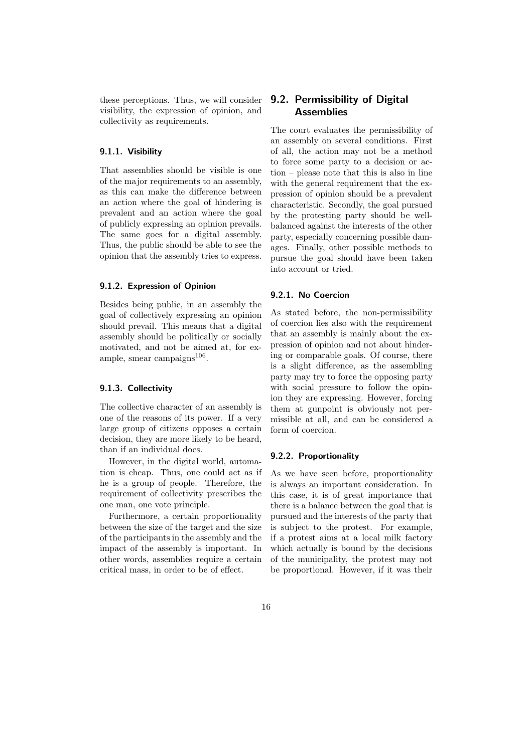these perceptions. Thus, we will consider visibility, the expression of opinion, and collectivity as requirements.

### <span id="page-15-0"></span>9.1.1. Visibility

That assemblies should be visible is one of the major requirements to an assembly, as this can make the difference between an action where the goal of hindering is prevalent and an action where the goal of publicly expressing an opinion prevails. The same goes for a digital assembly. Thus, the public should be able to see the opinion that the assembly tries to express.

#### <span id="page-15-1"></span>9.1.2. Expression of Opinion

Besides being public, in an assembly the goal of collectively expressing an opinion should prevail. This means that a digital assembly should be politically or socially motivated, and not be aimed at, for example, smear campaigns<sup>106</sup>.

#### <span id="page-15-2"></span>9.1.3. Collectivity

The collective character of an assembly is one of the reasons of its power. If a very large group of citizens opposes a certain decision, they are more likely to be heard, than if an individual does.

However, in the digital world, automation is cheap. Thus, one could act as if he is a group of people. Therefore, the requirement of collectivity prescribes the one man, one vote principle.

Furthermore, a certain proportionality between the size of the target and the size of the participants in the assembly and the impact of the assembly is important. In other words, assemblies require a certain critical mass, in order to be of effect.

## 9.2. Permissibility of Digital **Assemblies**

The court evaluates the permissibility of an assembly on several conditions. First of all, the action may not be a method to force some party to a decision or action – please note that this is also in line with the general requirement that the expression of opinion should be a prevalent characteristic. Secondly, the goal pursued by the protesting party should be wellbalanced against the interests of the other party, especially concerning possible damages. Finally, other possible methods to pursue the goal should have been taken into account or tried.

#### <span id="page-15-3"></span>9.2.1. No Coercion

As stated before, the non-permissibility of coercion lies also with the requirement that an assembly is mainly about the expression of opinion and not about hindering or comparable goals. Of course, there is a slight difference, as the assembling party may try to force the opposing party with social pressure to follow the opinion they are expressing. However, forcing them at gunpoint is obviously not permissible at all, and can be considered a form of coercion.

#### <span id="page-15-4"></span>9.2.2. Proportionality

As we have seen before, proportionality is always an important consideration. In this case, it is of great importance that there is a balance between the goal that is pursued and the interests of the party that is subject to the protest. For example, if a protest aims at a local milk factory which actually is bound by the decisions of the municipality, the protest may not be proportional. However, if it was their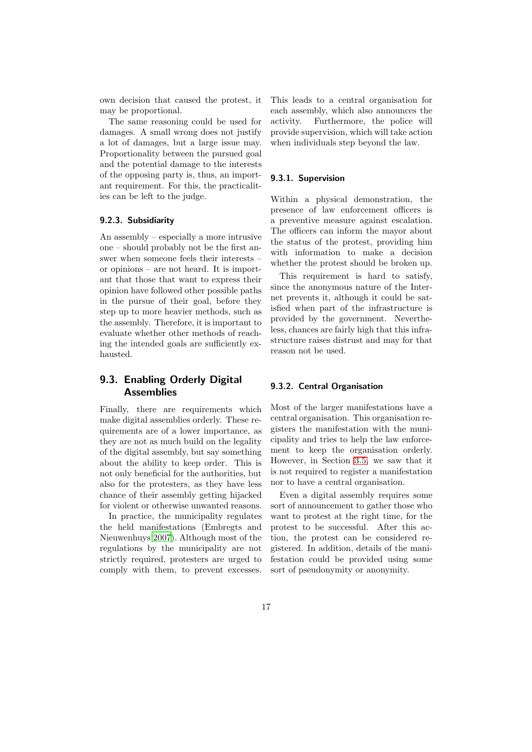own decision that caused the protest, it may be proportional.

The same reasoning could be used for damages. A small wrong does not justify a lot of damages, but a large issue may. Proportionality between the pursued goal and the potential damage to the interests of the opposing party is, thus, an important requirement. For this, the practicalities can be left to the judge.

#### <span id="page-16-1"></span>9.2.3. Subsidiarity

An assembly – especially a more intrusive one – should probably not be the first answer when someone feels their interests – or opinions – are not heard. It is important that those that want to express their opinion have followed other possible paths in the pursue of their goal, before they step up to more heavier methods, such as the assembly. Therefore, it is important to evaluate whether other methods of reaching the intended goals are sufficiently exhausted.

## <span id="page-16-2"></span>9.3. Enabling Orderly Digital **Assemblies**

Finally, there are requirements which make digital assemblies orderly. These requirements are of a lower importance, as they are not as much build on the legality of the digital assembly, but say something about the ability to keep order. This is not only beneficial for the authorities, but also for the protesters, as they have less chance of their assembly getting hijacked for violent or otherwise unwanted reasons.

In practice, the municipality regulates the held manifestations (Embregts and Nieuwenhuys [2007](#page-23-10)). Although most of the regulations by the municipality are not strictly required, protesters are urged to comply with them, to prevent excesses. This leads to a central organisation for each assembly, which also announces the activity. Furthermore, the police will provide supervision, which will take action when individuals step beyond the law.

#### <span id="page-16-3"></span>9.3.1. Supervision

Within a physical demonstration, the presence of law enforcement officers is a preventive measure against escalation. The officers can inform the mayor about the status of the protest, providing him with information to make a decision whether the protest should be broken up.

This requirement is hard to satisfy, since the anonymous nature of the Internet prevents it, although it could be satisfied when part of the infrastructure is provided by the government. Nevertheless, chances are fairly high that this infrastructure raises distrust and may for that reason not be used.

#### <span id="page-16-0"></span>9.3.2. Central Organisation

Most of the larger manifestations have a central organisation. This organisation registers the manifestation with the municipality and tries to help the law enforcement to keep the organisation orderly. However, in Section [3.5,](#page-8-1) we saw that it is not required to register a manifestation nor to have a central organisation.

Even a digital assembly requires some sort of announcement to gather those who want to protest at the right time, for the protest to be successful. After this action, the protest can be considered registered. In addition, details of the manifestation could be provided using some sort of pseudonymity or anonymity.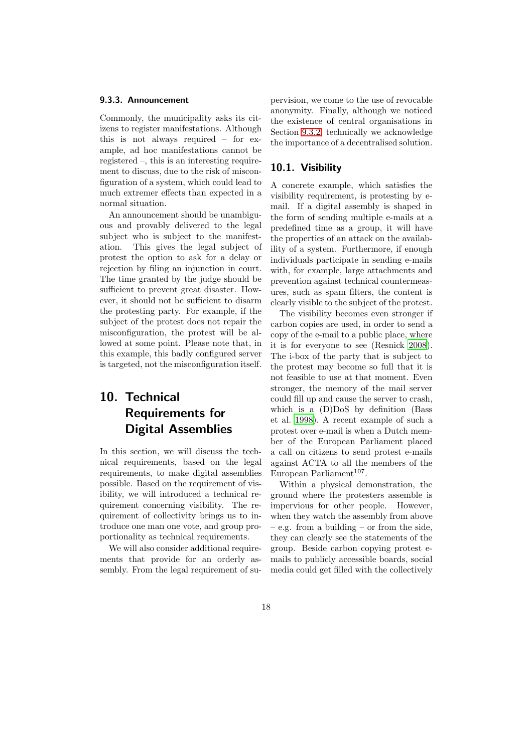#### <span id="page-17-2"></span>9.3.3. Announcement

Commonly, the municipality asks its citizens to register manifestations. Although this is not always required – for example, ad hoc manifestations cannot be registered –, this is an interesting requirement to discuss, due to the risk of misconfiguration of a system, which could lead to much extremer effects than expected in a normal situation.

An announcement should be unambiguous and provably delivered to the legal subject who is subject to the manifestation. This gives the legal subject of protest the option to ask for a delay or rejection by filing an injunction in court. The time granted by the judge should be sufficient to prevent great disaster. However, it should not be sufficient to disarm the protesting party. For example, if the subject of the protest does not repair the misconfiguration, the protest will be allowed at some point. Please note that, in this example, this badly configured server is targeted, not the misconfiguration itself.

## <span id="page-17-0"></span>10. Technical Requirements for Digital Assemblies

In this section, we will discuss the technical requirements, based on the legal requirements, to make digital assemblies possible. Based on the requirement of visibility, we will introduced a technical requirement concerning visibility. The requirement of collectivity brings us to introduce one man one vote, and group proportionality as technical requirements.

We will also consider additional requirements that provide for an orderly assembly. From the legal requirement of supervision, we come to the use of revocable anonymity. Finally, although we noticed the existence of central organisations in Section [9.3.2,](#page-16-0) technically we acknowledge the importance of a decentralised solution.

### <span id="page-17-1"></span>10.1. Visibility

A concrete example, which satisfies the visibility requirement, is protesting by email. If a digital assembly is shaped in the form of sending multiple e-mails at a predefined time as a group, it will have the properties of an attack on the availability of a system. Furthermore, if enough individuals participate in sending e-mails with, for example, large attachments and prevention against technical countermeasures, such as spam filters, the content is clearly visible to the subject of the protest.

The visibility becomes even stronger if carbon copies are used, in order to send a copy of the e-mail to a public place, where it is for everyone to see (Resnick [2008](#page-23-12)). The i-box of the party that is subject to the protest may become so full that it is not feasible to use at that moment. Even stronger, the memory of the mail server could fill up and cause the server to crash, which is a (D)DoS by definition (Bass et al. [1998](#page-22-3)). A recent example of such a protest over e-mail is when a Dutch member of the European Parliament placed a call on citizens to send protest e-mails against ACTA to all the members of the  $\text{European Parliament}^{107}.$ 

Within a physical demonstration, the ground where the protesters assemble is impervious for other people. However, when they watch the assembly from above – e.g. from a building – or from the side, they can clearly see the statements of the group. Beside carbon copying protest emails to publicly accessible boards, social media could get filled with the collectively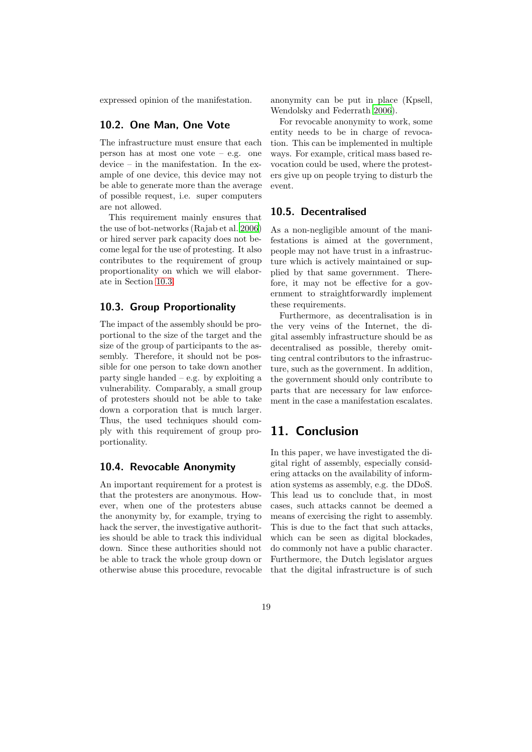<span id="page-18-1"></span>expressed opinion of the manifestation.

### 10.2. One Man, One Vote

The infrastructure must ensure that each person has at most one vote – e.g. one device – in the manifestation. In the example of one device, this device may not be able to generate more than the average of possible request, i.e. super computers are not allowed.

This requirement mainly ensures that the use of bot-networks (Rajab et al. [2006\)](#page-23-13) or hired server park capacity does not become legal for the use of protesting. It also contributes to the requirement of group proportionality on which we will elaborate in Section [10.3.](#page-18-0)

## <span id="page-18-0"></span>10.3. Group Proportionality

The impact of the assembly should be proportional to the size of the target and the size of the group of participants to the assembly. Therefore, it should not be possible for one person to take down another party single handed – e.g. by exploiting a vulnerability. Comparably, a small group of protesters should not be able to take down a corporation that is much larger. Thus, the used techniques should comply with this requirement of group proportionality.

## <span id="page-18-2"></span>10.4. Revocable Anonymity

An important requirement for a protest is that the protesters are anonymous. However, when one of the protesters abuse the anonymity by, for example, trying to hack the server, the investigative authorities should be able to track this individual down. Since these authorities should not be able to track the whole group down or otherwise abuse this procedure, revocable anonymity can be put in place (Kpsell, Wendolsky and Federrath [2006](#page-23-14)).

For revocable anonymity to work, some entity needs to be in charge of revocation. This can be implemented in multiple ways. For example, critical mass based revocation could be used, where the protesters give up on people trying to disturb the event.

### <span id="page-18-3"></span>10.5. Decentralised

As a non-negligible amount of the manifestations is aimed at the government, people may not have trust in a infrastructure which is actively maintained or supplied by that same government. Therefore, it may not be effective for a government to straightforwardly implement these requirements.

Furthermore, as decentralisation is in the very veins of the Internet, the digital assembly infrastructure should be as decentralised as possible, thereby omitting central contributors to the infrastructure, such as the government. In addition, the government should only contribute to parts that are necessary for law enforcement in the case a manifestation escalates.

## 11. Conclusion

In this paper, we have investigated the digital right of assembly, especially considering attacks on the availability of information systems as assembly, e.g. the DDoS. This lead us to conclude that, in most cases, such attacks cannot be deemed a means of exercising the right to assembly. This is due to the fact that such attacks, which can be seen as digital blockades, do commonly not have a public character. Furthermore, the Dutch legislator argues that the digital infrastructure is of such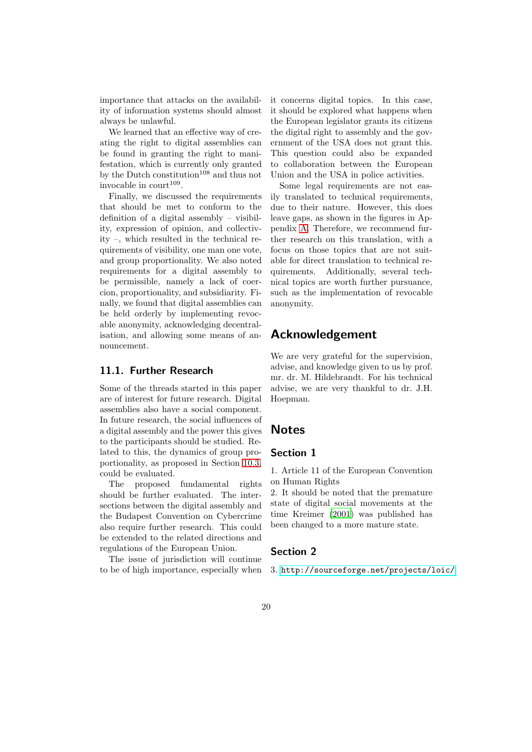importance that attacks on the availability of information systems should almost always be unlawful.

We learned that an effective way of creating the right to digital assemblies can be found in granting the right to manifestation, which is currently only granted by the Dutch constitution<sup>108</sup> and thus not invocable in  $\text{count}^{109}$ .

Finally, we discussed the requirements that should be met to conform to the definition of a digital assembly – visibility, expression of opinion, and collectivity –, which resulted in the technical requirements of visibility, one man one vote, and group proportionality. We also noted requirements for a digital assembly to be permissible, namely a lack of coercion, proportionality, and subsidiarity. Finally, we found that digital assemblies can be held orderly by implementing revocable anonymity, acknowledging decentralisation, and allowing some means of announcement.

## 11.1. Further Research

Some of the threads started in this paper are of interest for future research. Digital assemblies also have a social component. In future research, the social influences of a digital assembly and the power this gives to the participants should be studied. Related to this, the dynamics of group proportionality, as proposed in Section [10.3,](#page-18-0) could be evaluated.

The proposed fundamental rights should be further evaluated. The intersections between the digital assembly and the Budapest Convention on Cybercrime also require further research. This could be extended to the related directions and regulations of the European Union.

The issue of jurisdiction will continue to be of high importance, especially when it concerns digital topics. In this case, it should be explored what happens when the European legislator grants its citizens the digital right to assembly and the government of the USA does not grant this. This question could also be expanded to collaboration between the European Union and the USA in police activities.

Some legal requirements are not easily translated to technical requirements, due to their nature. However, this does leave gaps, as shown in the figures in Appendix [A.](#page-24-4) Therefore, we recommend further research on this translation, with a focus on those topics that are not suitable for direct translation to technical requirements. Additionally, several technical topics are worth further pursuance, such as the implementation of revocable anonymity.

## Acknowledgement

We are very grateful for the supervision, advise, and knowledge given to us by prof. mr. dr. M. Hildebrandt. For his technical advise, we are very thankful to dr. J.H. Hoepman.

## Notes

## Section 1

1. Article 11 of the European Convention on Human Rights

2. It should be noted that the premature state of digital social movements at the time Kreimer [\(2001](#page-23-2)) was published has been changed to a more mature state.

### Section 2

3. <http://sourceforge.net/projects/loic/>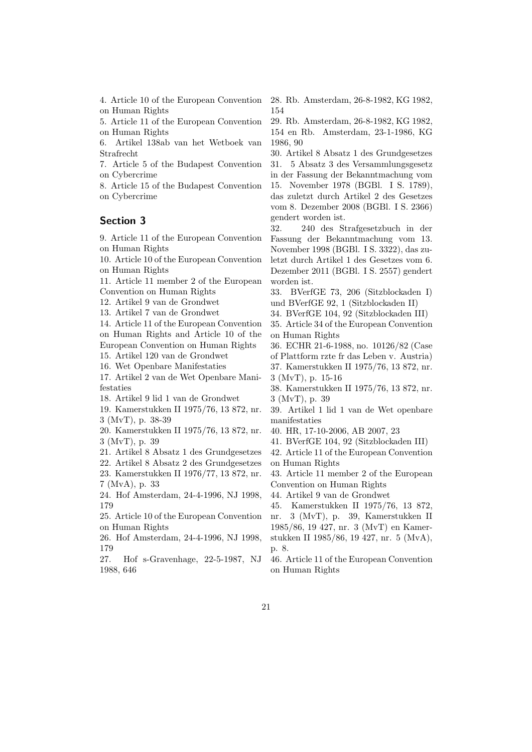4. Article 10 of the European Convention on Human Rights

5. Article 11 of the European Convention on Human Rights

6. Artikel 138ab van het Wetboek van Strafrecht

7. Article 5 of the Budapest Convention on Cybercrime

8. Article 15 of the Budapest Convention on Cybercrime

## Section 3

9. Article 11 of the European Convention on Human Rights

10. Article 10 of the European Convention on Human Rights

11. Article 11 member 2 of the European Convention on Human Rights

12. Artikel 9 van de Grondwet

13. Artikel 7 van de Grondwet

14. Article 11 of the European Convention on Human Rights and Article 10 of the European Convention on Human Rights 15. Artikel 120 van de Grondwet

16. Wet Openbare Manifestaties

17. Artikel 2 van de Wet Openbare Manifestaties

18. Artikel 9 lid 1 van de Grondwet

19. Kamerstukken II 1975/76, 13 872, nr. 3 (MvT), p. 38-39

20. Kamerstukken II 1975/76, 13 872, nr. 3 (MvT), p. 39

21. Artikel 8 Absatz 1 des Grundgesetzes

22. Artikel 8 Absatz 2 des Grundgesetzes 23. Kamerstukken II 1976/77, 13 872, nr. 7 (MvA), p. 33

24. Hof Amsterdam, 24-4-1996, NJ 1998, 179

25. Article 10 of the European Convention on Human Rights

26. Hof Amsterdam, 24-4-1996, NJ 1998, 179

27. Hof s-Gravenhage, 22-5-1987, NJ 1988, 646

28. Rb. Amsterdam, 26-8-1982, KG 1982, 154

29. Rb. Amsterdam, 26-8-1982, KG 1982, 154 en Rb. Amsterdam, 23-1-1986, KG 1986, 90

30. Artikel 8 Absatz 1 des Grundgesetzes 31. 5 Absatz 3 des Versammlungsgesetz in der Fassung der Bekanntmachung vom 15. November 1978 (BGBl. I S. 1789), das zuletzt durch Artikel 2 des Gesetzes vom 8. Dezember 2008 (BGBl. I S. 2366) gendert worden ist.

32. 240 des Strafgesetzbuch in der Fassung der Bekanntmachung vom 13. November 1998 (BGBl. I S. 3322), das zuletzt durch Artikel 1 des Gesetzes vom 6. Dezember 2011 (BGBl. I S. 2557) gendert worden ist.

33. BVerfGE 73, 206 (Sitzblockaden I) und BVerfGE 92, 1 (Sitzblockaden II)

34. BVerfGE 104, 92 (Sitzblockaden III)

35. Article 34 of the European Convention on Human Rights

36. ECHR 21-6-1988, no. 10126/82 (Case of Plattform rzte fr das Leben v. Austria) 37. Kamerstukken II 1975/76, 13 872, nr. 3 (MvT), p. 15-16

38. Kamerstukken II 1975/76, 13 872, nr. 3 (MvT), p. 39

39. Artikel 1 lid 1 van de Wet openbare manifestaties

40. HR, 17-10-2006, AB 2007, 23

41. BVerfGE 104, 92 (Sitzblockaden III)

42. Article 11 of the European Convention on Human Rights

43. Article 11 member 2 of the European Convention on Human Rights

44. Artikel 9 van de Grondwet

45. Kamerstukken II 1975/76, 13 872,

nr. 3 (MvT), p. 39, Kamerstukken II 1985/86, 19 427, nr. 3 (MvT) en Kamerstukken II 1985/86, 19 427, nr. 5 (MvA), p. 8.

46. Article 11 of the European Convention on Human Rights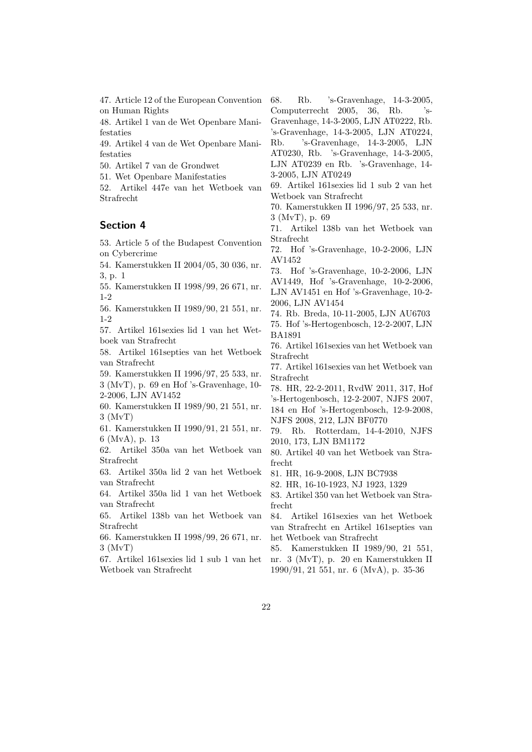47. Article 12 of the European Convention on Human Rights

48. Artikel 1 van de Wet Openbare Manifestaties

49. Artikel 4 van de Wet Openbare Manifestaties

50. Artikel 7 van de Grondwet

51. Wet Openbare Manifestaties

52. Artikel 447e van het Wetboek van Strafrecht

### Section 4

53. Article 5 of the Budapest Convention on Cybercrime

54. Kamerstukken II 2004/05, 30 036, nr. 3, p. 1

55. Kamerstukken II 1998/99, 26 671, nr. 1-2

56. Kamerstukken II 1989/90, 21 551, nr. 1-2

57. Artikel 161sexies lid 1 van het Wetboek van Strafrecht

58. Artikel 161septies van het Wetboek van Strafrecht

59. Kamerstukken II 1996/97, 25 533, nr. 3 (MvT), p. 69 en Hof 's-Gravenhage, 10- 2-2006, LJN AV1452

60. Kamerstukken II 1989/90, 21 551, nr. 3 (MvT)

61. Kamerstukken II 1990/91, 21 551, nr. 6 (MvA), p. 13

62. Artikel 350a van het Wetboek van Strafrecht

63. Artikel 350a lid 2 van het Wetboek van Strafrecht

64. Artikel 350a lid 1 van het Wetboek van Strafrecht

65. Artikel 138b van het Wetboek van Strafrecht

66. Kamerstukken II 1998/99, 26 671, nr. 3 (MvT)

67. Artikel 161sexies lid 1 sub 1 van het Wetboek van Strafrecht

68. Rb. 's-Gravenhage, 14-3-2005, Computerrecht 2005, 36, Rb. 's-Gravenhage, 14-3-2005, LJN AT0222, Rb. 's-Gravenhage, 14-3-2005, LJN AT0224,

Rb. 's-Gravenhage, 14-3-2005, LJN AT0230, Rb. 's-Gravenhage, 14-3-2005, LJN AT0239 en Rb. 's-Gravenhage, 14- 3-2005, LJN AT0249

69. Artikel 161sexies lid 1 sub 2 van het Wetboek van Strafrecht

70. Kamerstukken II 1996/97, 25 533, nr. 3 (MvT), p. 69

71. Artikel 138b van het Wetboek van Strafrecht

72. Hof 's-Gravenhage, 10-2-2006, LJN AV1452

73. Hof 's-Gravenhage, 10-2-2006, LJN AV1449, Hof 's-Gravenhage, 10-2-2006, LJN AV1451 en Hof 's-Gravenhage, 10-2- 2006, LJN AV1454

74. Rb. Breda, 10-11-2005, LJN AU6703

75. Hof 's-Hertogenbosch, 12-2-2007, LJN BA1891

76. Artikel 161sexies van het Wetboek van Strafrecht

77. Artikel 161sexies van het Wetboek van Strafrecht

78. HR, 22-2-2011, RvdW 2011, 317, Hof 's-Hertogenbosch, 12-2-2007, NJFS 2007,

184 en Hof 's-Hertogenbosch, 12-9-2008, NJFS 2008, 212, LJN BF0770

79. Rb. Rotterdam, 14-4-2010, NJFS 2010, 173, LJN BM1172

80. Artikel 40 van het Wetboek van Strafrecht

81. HR, 16-9-2008, LJN BC7938

82. HR, 16-10-1923, NJ 1923, 1329

83. Artikel 350 van het Wetboek van Strafrecht

84. Artikel 161sexies van het Wetboek van Strafrecht en Artikel 161septies van het Wetboek van Strafrecht

85. Kamerstukken II 1989/90, 21 551, nr. 3 (MvT), p. 20 en Kamerstukken II 1990/91, 21 551, nr. 6 (MvA), p. 35-36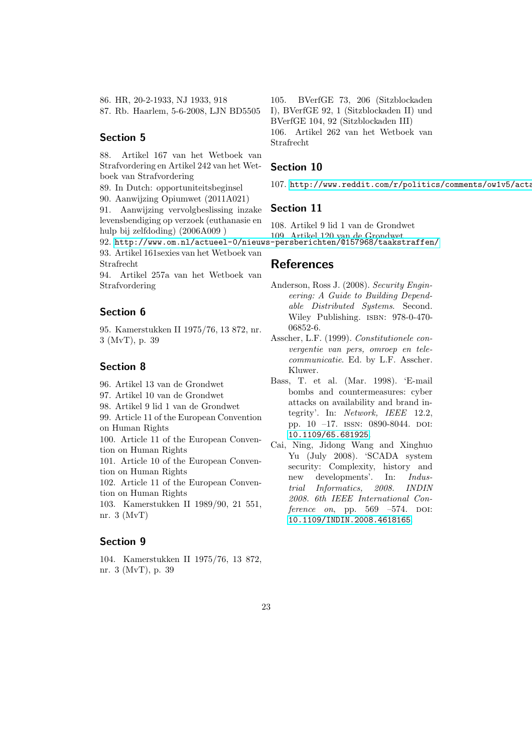86. HR, 20-2-1933, NJ 1933, 918 87. Rb. Haarlem, 5-6-2008, LJN BD5505

### Section 5

88. Artikel 167 van het Wetboek van Strafvordering en Artikel 242 van het Wetboek van Strafvordering

89. In Dutch: opportuniteitsbeginsel

90. Aanwijzing Opiumwet (2011A021)

91. Aanwijzing vervolgbeslissing inzake levensbendiging op verzoek (euthanasie en hulp bij zelfdoding) (2006A009 )

93. Artikel 161sexies van het Wetboek van Strafrecht

94. Artikel 257a van het Wetboek van Strafvordering

## Section 6

95. Kamerstukken II 1975/76, 13 872, nr. 3 (MvT), p. 39

## Section 8

- 96. Artikel 13 van de Grondwet
- 97. Artikel 10 van de Grondwet
- 98. Artikel 9 lid 1 van de Grondwet
- 99. Article 11 of the European Convention on Human Rights

100. Article 11 of the European Convention on Human Rights

101. Article 10 of the European Convention on Human Rights

102. Article 11 of the European Convention on Human Rights

103. Kamerstukken II 1989/90, 21 551, nr. 3 (MvT)

## Section 9

104. Kamerstukken II 1975/76, 13 872, nr. 3 (MvT), p. 39

105. BVerfGE 73, 206 (Sitzblockaden I), BVerfGE 92, 1 (Sitzblockaden II) und BVerfGE 104, 92 (Sitzblockaden III) 106. Artikel 262 van het Wetboek van Strafrecht

### Section 10

107. http://www.reddit.com/r/politics/comments/ow1v5/acta

## Section 11

92. <http://www.om.nl/actueel-0/nieuws-persberichten/@157968/taakstraffen/> 109. Artikel 120 van de Grondwet 108. Artikel 9 lid 1 van de Grondwet

## <span id="page-22-0"></span>References

- Anderson, Ross J. (2008). *Security Engineering: A Guide to Building Dependable Distributed Systems*. Second. Wiley Publishing. isbn: 978-0-470- 06852-6.
- <span id="page-22-2"></span>Asscher, L.F. (1999). *Constitutionele convergentie van pers, omroep en telecommunicatie*. Ed. by L.F. Asscher. Kluwer.
- <span id="page-22-3"></span>Bass, T. et al. (Mar. 1998). 'E-mail bombs and countermeasures: cyber attacks on availability and brand integrity'. In: *Network, IEEE* 12.2, pp.  $10 -17$ . ISSN: 0890-8044. DOI: [10.1109/65.681925](http://dx.doi.org/10.1109/65.681925).
- <span id="page-22-1"></span>Cai, Ning, Jidong Wang and Xinghuo Yu (July 2008). 'SCADA system security: Complexity, history and new developments'. In: *Industrial Informatics, 2008. INDIN 2008. 6th IEEE International Conference on*, pp. 569 –574. DOI: [10.1109/INDIN.2008.4618165](http://dx.doi.org/10.1109/INDIN.2008.4618165).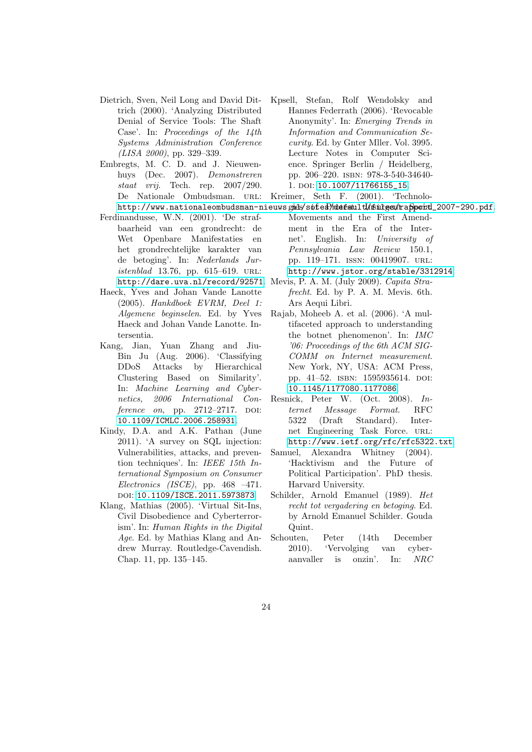- <span id="page-23-6"></span>Dietrich, Sven, Neil Long and David Dittrich (2000). 'Analyzing Distributed Denial of Service Tools: The Shaft Case'. In: *Proceedings of the 14th Systems Administration Conference (LISA 2000)*, pp. 329–339.
- <span id="page-23-10"></span>Embregts, M. C. D. and J. Nieuwenhuys (Dec. 2007). *Demonstreren staat vrij*. Tech. rep. 2007/290. De Nationale Ombudsman. URL:
- <span id="page-23-7"></span>Ferdinandusse, W.N. (2001). 'De strafbaarheid van een grondrecht: de Wet Openbare Manifestaties en het grondrechtelijke karakter van de betoging'. In: *Nederlands Juristenblad* 13.76, pp. 615–619. URL:
- <span id="page-23-9"></span>Haeck, Yves and Johan Vande Lanotte (2005). *Hankdboek EVRM, Deel 1: Algemene beginselen*. Ed. by Yves Haeck and Johan Vande Lanotte. Intersentia.
- <span id="page-23-12"></span><span id="page-23-4"></span>Kang, Jian, Yuan Zhang and Jiu-Bin Ju (Aug. 2006). 'Classifying DDoS Attacks by Hierarchical Clustering Based on Similarity'. In: *Machine Learning and Cybernetics, 2006 International Conference on*, pp. 2712–2717. DOI: [10.1109/ICMLC.2006.258931](http://dx.doi.org/10.1109/ICMLC.2006.258931).
- <span id="page-23-5"></span><span id="page-23-3"></span>Kindy, D.A. and A.K. Pathan (June 2011). 'A survey on SQL injection: Vulnerabilities, attacks, and prevention techniques'. In: *IEEE 15th International Symposium on Consumer Electronics (ISCE)*, pp. 468 –471. doi: [10.1109/ISCE.2011.5973873](http://dx.doi.org/10.1109/ISCE.2011.5973873).
- <span id="page-23-8"></span><span id="page-23-1"></span><span id="page-23-0"></span>Klang, Mathias (2005). 'Virtual Sit-Ins, Civil Disobedience and Cyberterrorism'. In: *Human Rights in the Digital Age*. Ed. by Mathias Klang and Andrew Murray. Routledge-Cavendish. Chap. 11, pp. 135–145.
- <span id="page-23-14"></span>Kpsell, Stefan, Rolf Wendolsky and Hannes Federrath (2006). 'Revocable Anonymity'. In: *Emerging Trends in Information and Communication Security*. Ed. by Gnter Mller. Vol. 3995. Lecture Notes in Computer Science. Springer Berlin / Heidelberg, pp. 206–220. isbn: 978-3-540-34640- 1. DOI: 10.1007/11766155 15.
- <span id="page-23-13"></span><span id="page-23-11"></span><span id="page-23-2"></span>Kreimer, Seth F. (2001). 'Technolo-
- http://www.nationaleombudsman-nieuws.gmds/sofed3/mdefamltl/mSulgen/frapporttl\_2007-290.pdf.
	- Movements and the First Amendment in the Era of the Internet'. English. In: *University of Pennsylvania Law Review* 150.1, pp. 119–171. issn: 00419907. url: <http://www.jstor.org/stable/3312914>.
- <http://dare.uva.nl/record/92571>. Mevis, P. A. M. (July 2009). *Capita Strafrecht*. Ed. by P. A. M. Mevis. 6th. Ars Aequi Libri.
	- Rajab, Moheeb A. et al. (2006). 'A multifaceted approach to understanding the botnet phenomenon'. In: *IMC '06: Proceedings of the 6th ACM SIG-COMM on Internet measurement*. New York, NY, USA: ACM Press, pp. 41–52. isbn: 1595935614. doi: [10.1145/1177080.1177086](http://dx.doi.org/10.1145/1177080.1177086).
	- Resnick, Peter W. (Oct. 2008). *Internet Message Format*. RFC 5322 (Draft Standard). Internet Engineering Task Force. url: <http://www.ietf.org/rfc/rfc5322.txt>.
	- Samuel, Alexandra Whitney (2004). 'Hacktivism and the Future of Political Participation'. PhD thesis. Harvard University.
	- Schilder, Arnold Emanuel (1989). *Het recht tot vergadering en betoging*. Ed. by Arnold Emanuel Schilder. Gouda Quint.
	- Schouten, Peter (14th December 2010). 'Vervolging van cyberaanvaller is onzin'. In: *NRC*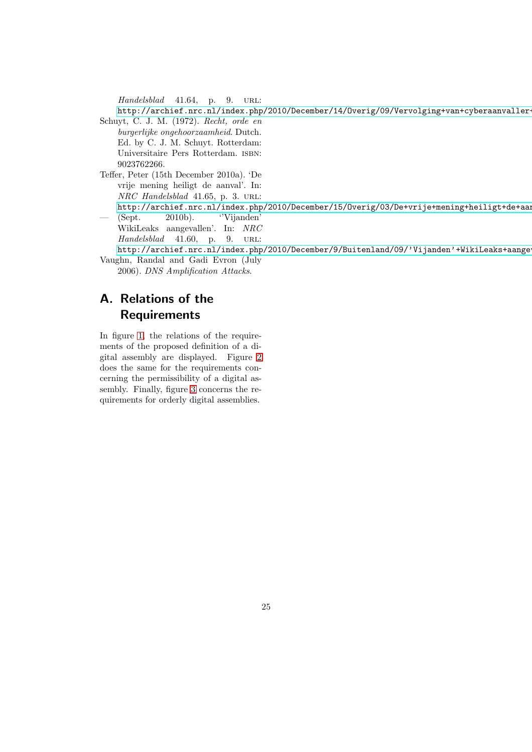*Handelsblad* 41.64, p. 9. URL:

<span id="page-24-3"></span>http://archief.nrc.nl/index.php/2010/December/14/Overig/09/Vervolging+van+cyberaanvaller-Schuyt, C. J. M. (1972). *Recht, orde en*

*burgerlijke ongehoorzaamheid*. Dutch. Ed. by C. J. M. Schuyt. Rotterdam: Universitaire Pers Rotterdam. isbn: 9023762266.

<span id="page-24-2"></span>Teffer, Peter (15th December 2010a). 'De vrije mening heiligt de aanval'. In: *NRC Handelsblad* 41.65, p. 3. url:

<span id="page-24-0"></span>http://archief.nrc.nl/index.php/2010/December/15/Overig/03/De+vrije+mening+heiligt+de+aan — (Sept. 2010b). ''Vijanden'

WikiLeaks aangevallen'. In: *NRC Handelsblad* 41.60, p. 9. URL:

<span id="page-24-1"></span>http://archief.nrc.nl/index.php/2010/December/9/Buitenland/09/'Vijanden'+WikiLeaks+aange Vaughn, Randal and Gadi Evron (July

2006). *DNS Amplification Attacks*.

## <span id="page-24-4"></span>A. Relations of the Requirements

In figure [1,](#page-25-0) the relations of the requirements of the proposed definition of a digital assembly are displayed. Figure [2](#page-25-1) does the same for the requirements concerning the permissibility of a digital assembly. Finally, figure [3](#page-25-2) concerns the requirements for orderly digital assemblies.